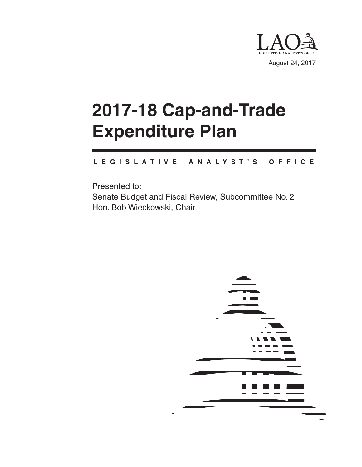

# **2017-18 Cap-and-Trade Expenditure Plan**

#### **L E G I S L A T I V E A N A L Y S T ' S O F F I C E**

Presented to: Senate Budget and Fiscal Review, Subcommittee No. 2 Hon. Bob Wieckowski, Chair

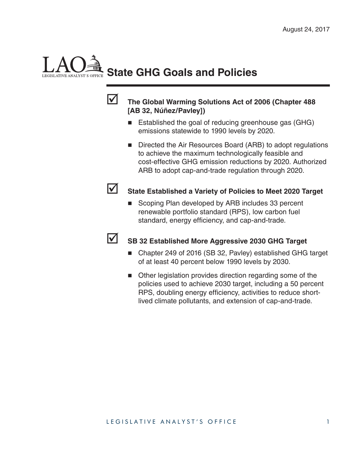# **State GHG Goals and Policies**



#### **The Global Warming Solutions Act of 2006 (Chapter 488 [AB 32, Núñez/Pavley])**

- Established the goal of reducing greenhouse gas (GHG) emissions statewide to 1990 levels by 2020.
- Directed the Air Resources Board (ARB) to adopt regulations to achieve the maximum technologically feasible and cost-effective GHG emission reductions by 2020. Authorized ARB to adopt cap-and-trade regulation through 2020.



### State Established a Variety of Policies to Meet 2020 Target

Scoping Plan developed by ARB includes 33 percent renewable portfolio standard (RPS), low carbon fuel standard, energy efficiency, and cap-and-trade.



#### **SB 32 Established More Aggressive 2030 GHG Target**

- Chapter 249 of 2016 (SB 32, Pavley) established GHG target of at least 40 percent below 1990 levels by 2030.
- Other legislation provides direction regarding some of the policies used to achieve 2030 target, including a 50 percent RPS, doubling energy efficiency, activities to reduce shortlived climate pollutants, and extension of cap-and-trade.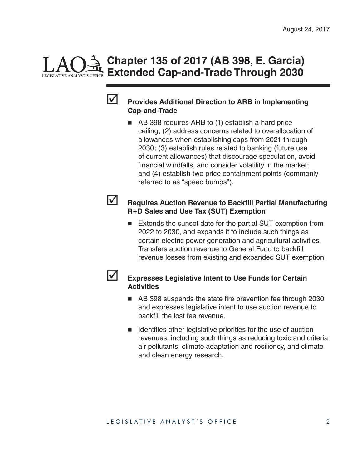# **Chapter 135 of 2017 (AB 398, E. Garcia) Extended Cap-and-Trade Through 2030**



#### **Provides Additional Direction to ARB in Implementing Cap-and-Trade**

■ AB 398 requires ARB to (1) establish a hard price ceiling; (2) address concerns related to overallocation of allowances when establishing caps from 2021 through 2030; (3) establish rules related to banking (future use of current allowances) that discourage speculation, avoid financial windfalls, and consider volatility in the market; and (4) establish two price containment points (commonly referred to as "speed bumps").

#### **Requires Auction Revenue to Backfill Partial Manufacturing R+D Sales and Use Tax (SUT) Exemption**

Extends the sunset date for the partial SUT exemption from 2022 to 2030, and expands it to include such things as certain electric power generation and agricultural activities. Transfers auction revenue to General Fund to backfill revenue losses from existing and expanded SUT exemption.

#### **Expresses Legislative Intent to Use Funds for Certain Activities**

- AB 398 suspends the state fire prevention fee through 2030 and expresses legislative intent to use auction revenue to backfill the lost fee revenue.
- $\blacksquare$  Identifies other legislative priorities for the use of auction revenues, including such things as reducing toxic and criteria air pollutants, climate adaptation and resiliency, and climate and clean energy research.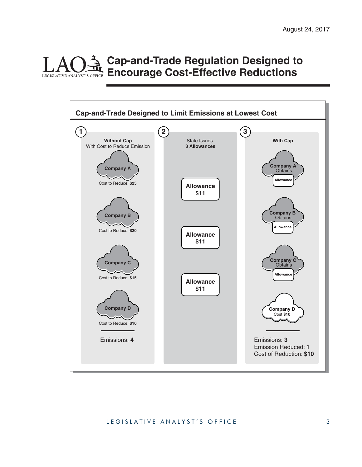#### **Cap-and-Trade Regulation Designed to Encourage Cost-Effective Reductions** LEGISLATIVE ANALYST'S OFFICE



#### LEGISLATIVE ANALYST'S OFFICE 3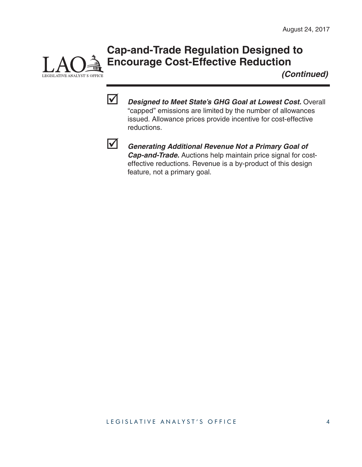# **Cap-and-Trade Regulation Designed to Encourage Cost-Effective Reduction**

*(Continued)*



LEGISLATIVE ANALYST'S OFFICE

 *Designed to Meet State's GHG Goal at Lowest Cost.* Overall "capped" emissions are limited by the number of allowances issued. Allowance prices provide incentive for cost-effective reductions.



 *Generating Additional Revenue Not a Primary Goal of Cap-and-Trade.* Auctions help maintain price signal for costeffective reductions. Revenue is a by-product of this design feature, not a primary goal.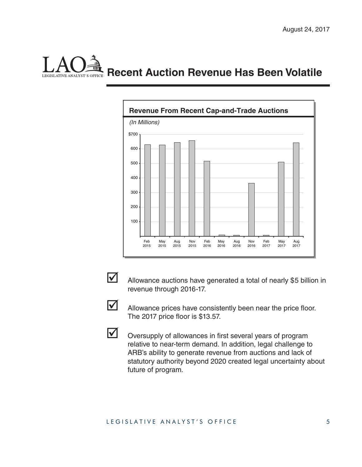# **Recent Auction Revenue Has Been Volatile** LEGISLATIVE ANALYST'S OFFICE





Allowance auctions have generated a total of nearly \$5 billion in revenue through 2016-17.



 $\blacksquare$  Allowance prices have consistently been near the price floor. The 2017 price floor is \$13.57.

Oversupply of allowances in first several years of program relative to near-term demand. In addition, legal challenge to ARB's ability to generate revenue from auctions and lack of statutory authority beyond 2020 created legal uncertainty about future of program.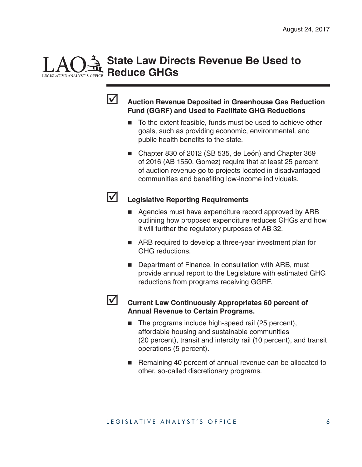### **State Law Directs Revenue Be Used to Reduce GHGs**



#### **Auction Revenue Deposited in Greenhouse Gas Reduction Fund (GGRF) and Used to Facilitate GHG Reductions**

- To the extent feasible, funds must be used to achieve other goals, such as providing economic, environmental, and public health benefits to the state.
- Chapter 830 of 2012 (SB 535, de León) and Chapter 369 of 2016 (AB 1550, Gomez) require that at least 25 percent of auction revenue go to projects located in disadvantaged communities and benefiting low-income individuals.

#### **Legislative Reporting Requirements**

- Agencies must have expenditure record approved by ARB outlining how proposed expenditure reduces GHGs and how it will further the regulatory purposes of AB 32.
- ARB required to develop a three-year investment plan for GHG reductions.
- Department of Finance, in consultation with ARB, must provide annual report to the Legislature with estimated GHG reductions from programs receiving GGRF.



#### **Current Law Continuously Appropriates 60 percent of Annual Revenue to Certain Programs.**

- The programs include high-speed rail (25 percent), affordable housing and sustainable communities (20 percent), transit and intercity rail (10 percent), and transit operations (5 percent).
- Remaining 40 percent of annual revenue can be allocated to other, so-called discretionary programs.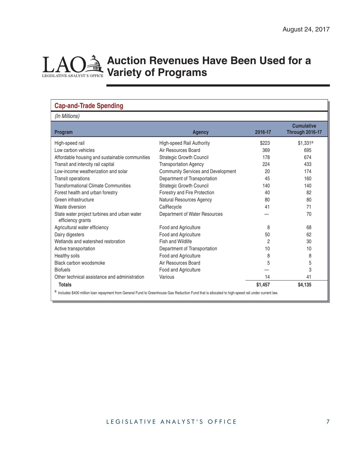#### LAO **Auction Revenues Have Been Used for a Variety of Programs** LEGISLATIVE ANALYST'S OFFICE

| <b>Cap-and-Trade Spending</b><br>(In Millions)                    |                                    |         |                                             |  |
|-------------------------------------------------------------------|------------------------------------|---------|---------------------------------------------|--|
| Program                                                           | <b>Agency</b>                      | 2016-17 | <b>Cumulative</b><br><b>Through 2016-17</b> |  |
| High-speed rail                                                   | High-speed Rail Authority          | \$223   | \$1.331 <sup>a</sup>                        |  |
| Low carbon vehicles                                               | Air Resources Board                | 369     | 695                                         |  |
| Affordable housing and sustainable communities                    | <b>Strategic Growth Council</b>    | 178     | 674                                         |  |
| Transit and intercity rail capital                                | <b>Transportation Agency</b>       | 224     | 433                                         |  |
| Low-income weatherization and solar                               | Community Services and Development | 20      | 174                                         |  |
| <b>Transit operations</b>                                         | Department of Transportation       | 45      | 160                                         |  |
| <b>Transformational Climate Communities</b>                       | <b>Strategic Growth Council</b>    | 140     | 140                                         |  |
| Forest health and urban forestry                                  | Forestry and Fire Protection       | 40      | 82                                          |  |
| Green infrastructure                                              | Natural Resources Agency           | 80      | 80                                          |  |
| Waste diversion                                                   | CalRecycle                         | 41      | 71                                          |  |
| State water project turbines and urban water<br>efficiency grants | Department of Water Resources      |         | 70                                          |  |
| Agricultural water efficiency                                     | Food and Agriculture               | 8       | 68                                          |  |
| Dairy digesters                                                   | Food and Agriculture               | 50      | 62                                          |  |
| Wetlands and watershed restoration                                | Fish and Wildlife                  | 2       | 30                                          |  |
| Active transportation                                             | Department of Transportation       | 10      | 10                                          |  |
| Healthy soils                                                     | Food and Agriculture               | 8       | 8                                           |  |
| Black carbon woodsmoke                                            | Air Resources Board                | 5       | 5                                           |  |
| <b>Biofuels</b>                                                   | Food and Agriculture               |         | 3                                           |  |
| Other technical assistance and administration                     | Various                            | 14      | 41                                          |  |
| <b>Totals</b>                                                     |                                    | \$1,457 | \$4,135                                     |  |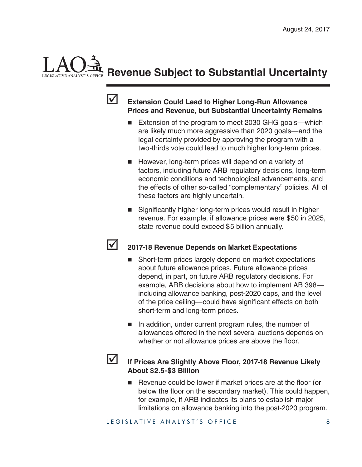# **Revenue Subject to Substantial Uncertainty**



#### **Extension Could Lead to Higher Long-Run Allowance Prices and Revenue, but Substantial Uncertainty Remains**

- Extension of the program to meet 2030 GHG goals—which are likely much more aggressive than 2020 goals—and the legal certainty provided by approving the program with a two-thirds vote could lead to much higher long-term prices.
- **However, long-term prices will depend on a variety of** factors, including future ARB regulatory decisions, long-term economic conditions and technological advancements, and the effects of other so-called "complementary" policies. All of these factors are highly uncertain.
- $\blacksquare$  Significantly higher long-term prices would result in higher revenue. For example, if allowance prices were \$50 in 2025, state revenue could exceed \$5 billion annually.

#### **2017-18 Revenue Depends on Market Expectations**

- Short-term prices largely depend on market expectations about future allowance prices. Future allowance prices depend, in part, on future ARB regulatory decisions. For example, ARB decisions about how to implement AB 398 including allowance banking, post-2020 caps, and the level of the price ceiling—could have significant effects on both short-term and long-term prices.
- $\blacksquare$  In addition, under current program rules, the number of allowances offered in the next several auctions depends on whether or not allowance prices are above the floor.

#### **If Prices Are Slightly Above Floor, 2017-18 Revenue Likely About \$2.5-\$3 Billion**

 $\blacksquare$  Revenue could be lower if market prices are at the floor (or below the floor on the secondary market). This could happen, for example, if ARB indicates its plans to establish major limitations on allowance banking into the post-2020 program.

LEGISLATIVE ANALYST'S OFFICE 8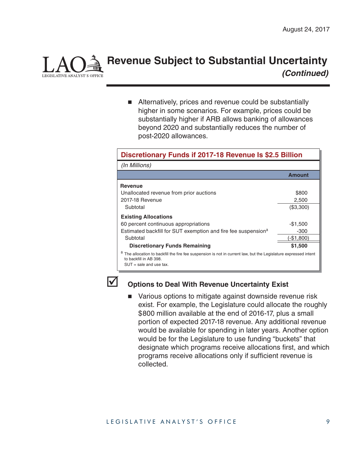

### **Revenue Subject to Substantial Uncertainty**  *(Continued)*

■ Alternatively, prices and revenue could be substantially higher in some scenarios. For example, prices could be substantially higher if ARB allows banking of allowances beyond 2020 and substantially reduces the number of post-2020 allowances.

#### **Discretionary Funds if 2017-18 Revenue Is \$2.5 Billion**

| (In Millions)                                                                                                                                                         |               |  |
|-----------------------------------------------------------------------------------------------------------------------------------------------------------------------|---------------|--|
|                                                                                                                                                                       | <b>Amount</b> |  |
| <b>Revenue</b>                                                                                                                                                        |               |  |
| Unallocated revenue from prior auctions                                                                                                                               | \$800         |  |
| 2017-18 Revenue                                                                                                                                                       | 2,500         |  |
| Subtotal                                                                                                                                                              | (\$3,300)     |  |
| <b>Existing Allocations</b>                                                                                                                                           |               |  |
| 60 percent continuous appropriations                                                                                                                                  | $-$1,500$     |  |
| Estimated backfill for SUT exemption and fire fee suspension <sup>a</sup>                                                                                             | -300          |  |
| Subtotal                                                                                                                                                              | $-$1,800$     |  |
| <b>Discretionary Funds Remaining</b>                                                                                                                                  | \$1,500       |  |
| The allocation to backfill the fire fee suspension is not in current law, but the Legislature expressed intent<br>to backfill in AB 398.<br>$SUT = sale$ and use tax. |               |  |



#### **Options to Deal With Revenue Uncertainty Exist**

■ Various options to mitigate against downside revenue risk exist. For example, the Legislature could allocate the roughly \$800 million available at the end of 2016-17, plus a small portion of expected 2017-18 revenue. Any additional revenue would be available for spending in later years. Another option would be for the Legislature to use funding "buckets" that designate which programs receive allocations first, and which programs receive allocations only if sufficient revenue is collected.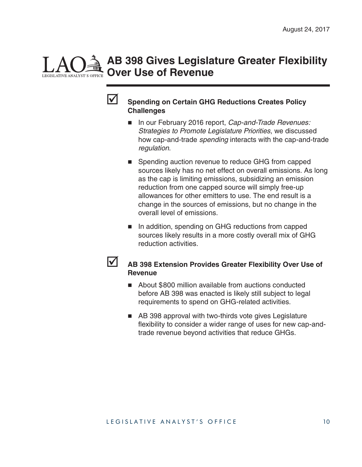# **AB 398 Gives Legislature Greater Flexibility Over Use of Revenue**



#### **Spending on Certain GHG Reductions Creates Policy Challenges**

- In our February 2016 report, *Cap-and-Trade Revenues: Strategies to Promote Legislature Priorities*, we discussed how cap-and-trade *spending* interacts with the cap-and-trade *regulation*.
- Spending auction revenue to reduce GHG from capped sources likely has no net effect on overall emissions. As long as the cap is limiting emissions, subsidizing an emission reduction from one capped source will simply free-up allowances for other emitters to use. The end result is a change in the sources of emissions, but no change in the overall level of emissions.
- In addition, spending on GHG reductions from capped sources likely results in a more costly overall mix of GHG reduction activities.
- **AB 398 Extension Provides Greater Flexibility Over Use of Revenue**
	- About \$800 million available from auctions conducted before AB 398 was enacted is likely still subject to legal requirements to spend on GHG-related activities.
	- AB 398 approval with two-thirds vote gives Legislature flexibility to consider a wider range of uses for new cap-andtrade revenue beyond activities that reduce GHGs.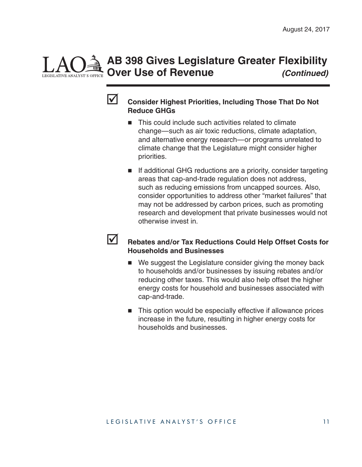# **AB 398 Gives Legislature Greater Flexibility Over Use of Revenue** *(Continued)*



#### **Consider Highest Priorities, Including Those That Do Not Reduce GHGs**

- This could include such activities related to climate change—such as air toxic reductions, climate adaptation, and alternative energy research—or programs unrelated to climate change that the Legislature might consider higher priorities.
- If additional GHG reductions are a priority, consider targeting areas that cap-and-trade regulation does not address, such as reducing emissions from uncapped sources. Also, consider opportunities to address other "market failures" that may not be addressed by carbon prices, such as promoting research and development that private businesses would not otherwise invest in.
- **K** Rebates and/or Tax Reductions Could Help Offset Costs for **Households and Businesses**
	- We suggest the Legislature consider giving the money back to households and/or businesses by issuing rebates and/or reducing other taxes. This would also help offset the higher energy costs for household and businesses associated with cap-and-trade.
	- This option would be especially effective if allowance prices increase in the future, resulting in higher energy costs for households and businesses.